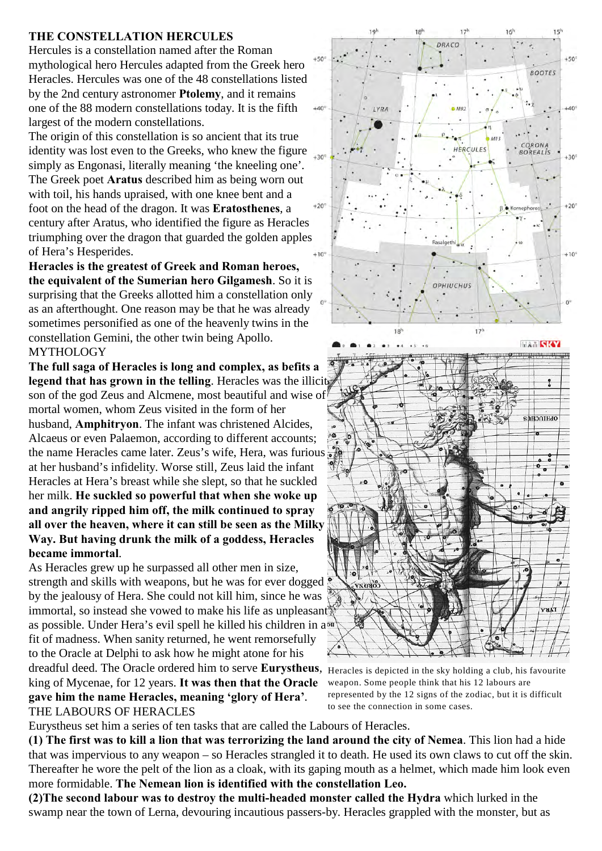#### **THE CONSTELLATION HERCULES**

Hercules is a constellation named after the Roman mythological hero Hercules adapted from the Greek hero Heracles. Hercules was one of the 48 constellations listed by the 2nd century astronomer **Ptolemy**, and it remains one of the 88 modern constellations today. It is the fifth largest of the modern constellations.

The origin of this constellation is so ancient that its true identity was lost even to the Greeks, who knew the figure  $\frac{1}{130}$ simply as Engonasi, literally meaning 'the kneeling one'. The Greek poet **Aratus** described him as being worn out with toil, his hands upraised, with one knee bent and a foot on the head of the dragon. It was **Eratosthenes**, a century after Aratus, who identified the figure as Heracles triumphing over the dragon that guarded the golden apples of Hera's Hesperides.

**Heracles is the greatest of Greek and Roman heroes, the equivalent of the Sumerian hero Gilgamesh**. So it is surprising that the Greeks allotted him a constellation only as an afterthought. One reason may be that he was already sometimes personified as one of the heavenly twins in the constellation Gemini, the other twin being Apollo. MYTHOLOGY

**The full saga of Heracles is long and complex, as befits a legend that has grown in the telling**. Heracles was the illicit son of the god Zeus and Alcmene, most beautiful and wise of mortal women, whom Zeus visited in the form of her husband, **Amphitryon**. The infant was christened Alcides, Alcaeus or even Palaemon, according to different accounts; the name Heracles came later. Zeus's wife, Hera, was furious at her husband's infidelity. Worse still, Zeus laid the infant Heracles at Hera's breast while she slept, so that he suckled her milk. **He suckled so powerful that when she woke up and angrily ripped him off, the milk continued to spray all over the heaven, where it can still be seen as the Milky Way. But having drunk the milk of a goddess, Heracles became immortal**.

As Heracles grew up he surpassed all other men in size, strength and skills with weapons, but he was for ever dogged by the jealousy of Hera. She could not kill him, since he was immortal, so instead she vowed to make his life as unpleasant as possible. Under Hera's evil spell he killed his children in a fit of madness. When sanity returned, he went remorsefully to the Oracle at Delphi to ask how he might atone for his dreadful deed. The Oracle ordered him to serve **Eurystheus**, Heracles is depicted in the sky holding a club, his favourite

king of Mycenae, for 12 years. **It was then that the Oracle gave him the name Heracles, meaning 'glory of Hera'**. THE LABOURS OF HERACLES



weapon. Some people think that his 12 labours are represented by the 12 signs of the zodiac, but it is difficult to see the connection in some cases.

Eurystheus set him a series of ten tasks that are called the Labours of Heracles.

**(1) The first was to kill a lion that was terrorizing the land around the city of Nemea**. This lion had a hide that was impervious to any weapon – so Heracles strangled it to death. He used its own claws to cut off the skin. Thereafter he wore the pelt of the lion as a cloak, with its gaping mouth as a helmet, which made him look even more formidable. **The Nemean lion is identified with the constellation Leo.** 

**(2)The second labour was to destroy the multi-headed monster called the Hydra** which lurked in the swamp near the town of Lerna, devouring incautious passers-by. Heracles grappled with the monster, but as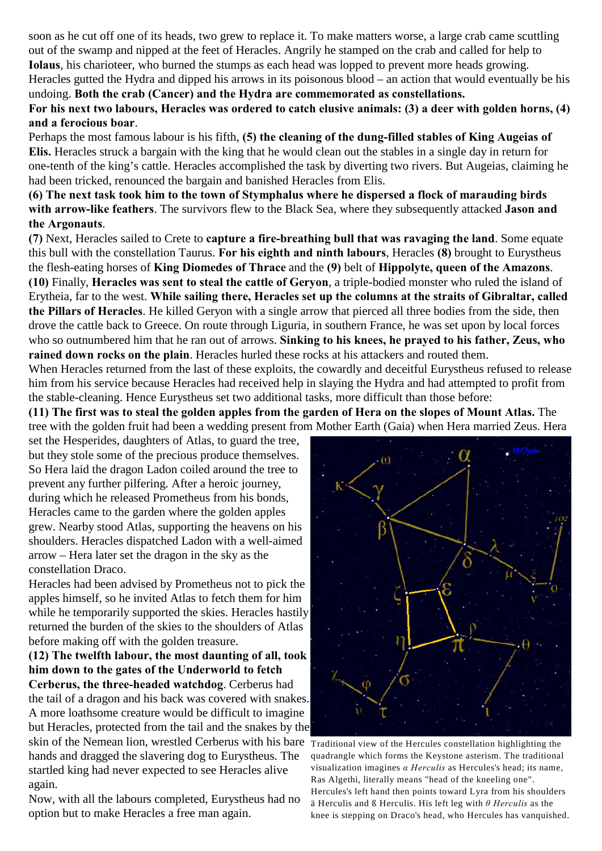soon as he cut off one of its heads, two grew to replace it. To make matters worse, a large crab came scuttling out of the swamp and nipped at the feet of Heracles. Angrily he stamped on the crab and called for help to **Iolaus**, his charioteer, who burned the stumps as each head was lopped to prevent more heads growing. Heracles gutted the Hydra and dipped his arrows in its poisonous blood – an action that would eventually be his undoing. **Both the crab (Cancer) and the Hydra are commemorated as constellations.** 

# **For his next two labours, Heracles was ordered to catch elusive animals: (3) a deer with golden horns, (4) and a ferocious boar**.

Perhaps the most famous labour is his fifth, **(5) the cleaning of the dung-filled stables of King Augeias of Elis.** Heracles struck a bargain with the king that he would clean out the stables in a single day in return for one-tenth of the king's cattle. Heracles accomplished the task by diverting two rivers. But Augeias, claiming he had been tricked, renounced the bargain and banished Heracles from Elis.

**(6) The next task took him to the town of Stymphalus where he dispersed a flock of marauding birds with arrow-like feathers**. The survivors flew to the Black Sea, where they subsequently attacked **Jason and the Argonauts**.

**(7)** Next, Heracles sailed to Crete to **capture a fire-breathing bull that was ravaging the land**. Some equate this bull with the constellation Taurus. **For his eighth and ninth labours**, Heracles **(8)** brought to Eurystheus the flesh-eating horses of **King Diomedes of Thrace** and the **(9)** belt of **Hippolyte, queen of the Amazons**. **(10)** Finally, **Heracles was sent to steal the cattle of Geryon**, a triple-bodied monster who ruled the island of Erytheia, far to the west. **While sailing there, Heracles set up the columns at the straits of Gibraltar, called the Pillars of Heracles**. He killed Geryon with a single arrow that pierced all three bodies from the side, then drove the cattle back to Greece. On route through Liguria, in southern France, he was set upon by local forces who so outnumbered him that he ran out of arrows. **Sinking to his knees, he prayed to his father, Zeus, who rained down rocks on the plain**. Heracles hurled these rocks at his attackers and routed them.

When Heracles returned from the last of these exploits, the cowardly and deceitful Eurystheus refused to release him from his service because Heracles had received help in slaying the Hydra and had attempted to profit from the stable-cleaning. Hence Eurystheus set two additional tasks, more difficult than those before:

**(11) The first was to steal the golden apples from the garden of Hera on the slopes of Mount Atlas.** The tree with the golden fruit had been a wedding present from Mother Earth (Gaia) when Hera married Zeus. Hera

set the Hesperides, daughters of Atlas, to guard the tree, but they stole some of the precious produce themselves. So Hera laid the dragon Ladon coiled around the tree to prevent any further pilfering. After a heroic journey, during which he released Prometheus from his bonds, Heracles came to the garden where the golden apples grew. Nearby stood Atlas, supporting the heavens on his shoulders. Heracles dispatched Ladon with a well-aimed arrow – Hera later set the dragon in the sky as the constellation Draco.

Heracles had been advised by Prometheus not to pick the apples himself, so he invited Atlas to fetch them for him while he temporarily supported the skies. Heracles hastily returned the burden of the skies to the shoulders of Atlas before making off with the golden treasure.

**(12) The twelfth labour, the most daunting of all, took him down to the gates of the Underworld to fetch Cerberus, the three-headed watchdog**. Cerberus had the tail of a dragon and his back was covered with snakes. A more loathsome creature would be difficult to imagine but Heracles, protected from the tail and the snakes by the skin of the Nemean lion, wrestled Cerberus with his bare  $T_{raditional}$  view of the Hercules constellation highlighting the hands and dragged the slavering dog to Eurystheus. The startled king had never expected to see Heracles alive again.

Now, with all the labours completed, Eurystheus had no option but to make Heracles a free man again.



quadrangle which forms the Keystone asterism. The traditional visualization imagines  $\alpha$  *Herculis* as Hercules's head; its name, Ras Algethi, literally means "head of the kneeling one". Hercules's left hand then points toward Lyra from his shoulders ä Herculis and ß Herculis. His left leg with *è Herculis* as the knee is stepping on Draco's head, who Hercules has vanquished.